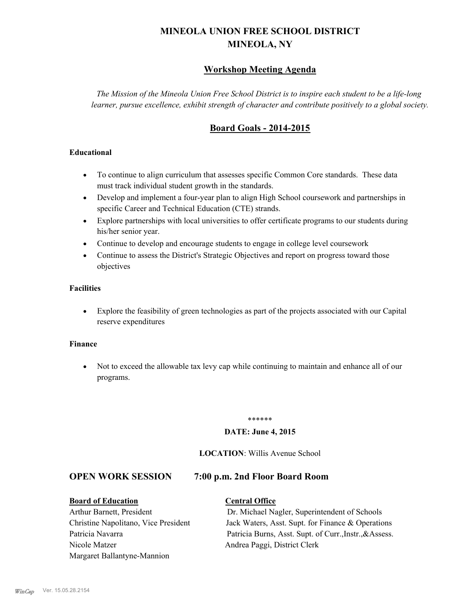# **MINEOLA UNION FREE SCHOOL DISTRICT MINEOLA, NY**

# **Workshop Meeting Agenda**

*The Mission of the Mineola Union Free School District is to inspire each student to be a life-long learner, pursue excellence, exhibit strength of character and contribute positively to a global society.*

# **Board Goals - 2014-2015**

### **Educational**

- · To continue to align curriculum that assesses specific Common Core standards. These data must track individual student growth in the standards.
- · Develop and implement a four-year plan to align High School coursework and partnerships in specific Career and Technical Education (CTE) strands.
- · Explore partnerships with local universities to offer certificate programs to our students during his/her senior year.
- · Continue to develop and encourage students to engage in college level coursework
- Continue to assess the District's Strategic Objectives and report on progress toward those objectives

### **Facilities**

· Explore the feasibility of green technologies as part of the projects associated with our Capital reserve expenditures

### **Finance**

· Not to exceed the allowable tax levy cap while continuing to maintain and enhance all of our programs.

### \*\*\*\*\*\*

### **DATE: June 4, 2015**

### **LOCATION**: Willis Avenue School

### **OPEN WORK SESSION 7:00 p.m. 2nd Floor Board Room**

**Board of Education Central Office** Arthur Barnett, President Dr. Michael Nagler, Superintendent of Schools Christine Napolitano, Vice President Jack Waters, Asst. Supt. for Finance & Operations Patricia Navarra Patricia Burns, Asst. Supt. of Curr., Instr., &Assess. Nicole Matzer Andrea Paggi, District Clerk Margaret Ballantyne-Mannion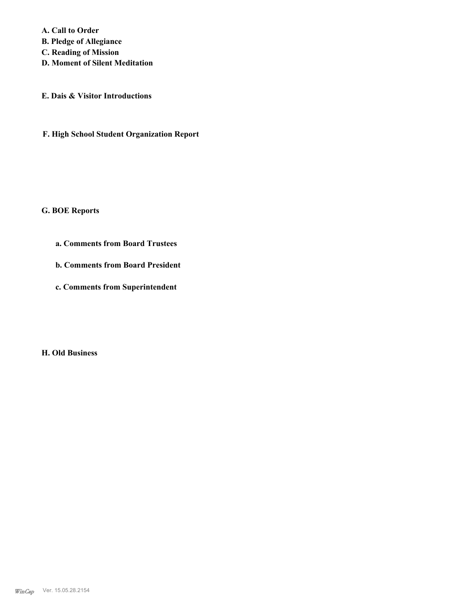**A. Call to Order** 

**B. Pledge of Allegiance**

**C. Reading of Mission**

**D. Moment of Silent Meditation**

**E. Dais & Visitor Introductions**

**F. High School Student Organization Report**

### **G. BOE Reports**

- **a. Comments from Board Trustees**
- **b. Comments from Board President**
- **c. Comments from Superintendent**

**H. Old Business**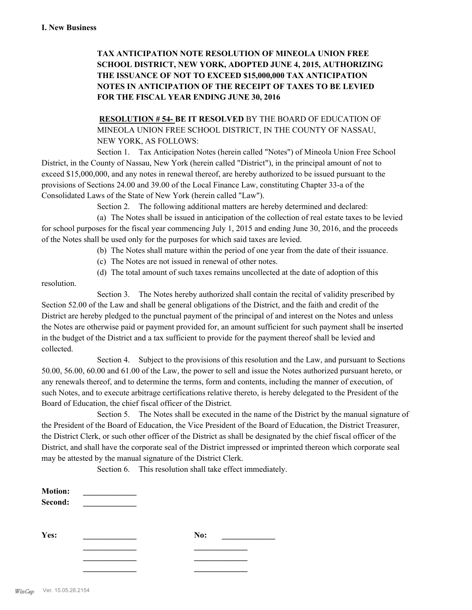# **TAX ANTICIPATION NOTE RESOLUTION OF MINEOLA UNION FREE SCHOOL DISTRICT, NEW YORK, ADOPTED JUNE 4, 2015, AUTHORIZING THE ISSUANCE OF NOT TO EXCEED \$15,000,000 TAX ANTICIPATION NOTES IN ANTICIPATION OF THE RECEIPT OF TAXES TO BE LEVIED FOR THE FISCAL YEAR ENDING JUNE 30, 2016**

**RESOLUTION # 54- BE IT RESOLVED** BY THE BOARD OF EDUCATION OF MINEOLA UNION FREE SCHOOL DISTRICT, IN THE COUNTY OF NASSAU, NEW YORK, AS FOLLOWS:

Section 1. Tax Anticipation Notes (herein called "Notes") of Mineola Union Free School District, in the County of Nassau, New York (herein called "District"), in the principal amount of not to exceed \$15,000,000, and any notes in renewal thereof, are hereby authorized to be issued pursuant to the provisions of Sections 24.00 and 39.00 of the Local Finance Law, constituting Chapter 33-a of the Consolidated Laws of the State of New York (herein called "Law").

Section 2. The following additional matters are hereby determined and declared:

(a) The Notes shall be issued in anticipation of the collection of real estate taxes to be levied for school purposes for the fiscal year commencing July 1, 2015 and ending June 30, 2016, and the proceeds of the Notes shall be used only for the purposes for which said taxes are levied.

- (b) The Notes shall mature within the period of one year from the date of their issuance.
- (c) The Notes are not issued in renewal of other notes.
- (d) The total amount of such taxes remains uncollected at the date of adoption of this

resolution.

Section 3. The Notes hereby authorized shall contain the recital of validity prescribed by Section 52.00 of the Law and shall be general obligations of the District, and the faith and credit of the District are hereby pledged to the punctual payment of the principal of and interest on the Notes and unless the Notes are otherwise paid or payment provided for, an amount sufficient for such payment shall be inserted in the budget of the District and a tax sufficient to provide for the payment thereof shall be levied and collected.

Section 4. Subject to the provisions of this resolution and the Law, and pursuant to Sections 50.00, 56.00, 60.00 and 61.00 of the Law, the power to sell and issue the Notes authorized pursuant hereto, or any renewals thereof, and to determine the terms, form and contents, including the manner of execution, of such Notes, and to execute arbitrage certifications relative thereto, is hereby delegated to the President of the Board of Education, the chief fiscal officer of the District.

Section 5. The Notes shall be executed in the name of the District by the manual signature of the President of the Board of Education, the Vice President of the Board of Education, the District Treasurer, the District Clerk, or such other officer of the District as shall be designated by the chief fiscal officer of the District, and shall have the corporate seal of the District impressed or imprinted thereon which corporate seal may be attested by the manual signature of the District Clerk.

Section 6. This resolution shall take effect immediately.

| <b>Motion:</b><br>Second: |     |
|---------------------------|-----|
| Yes:                      | No: |
|                           |     |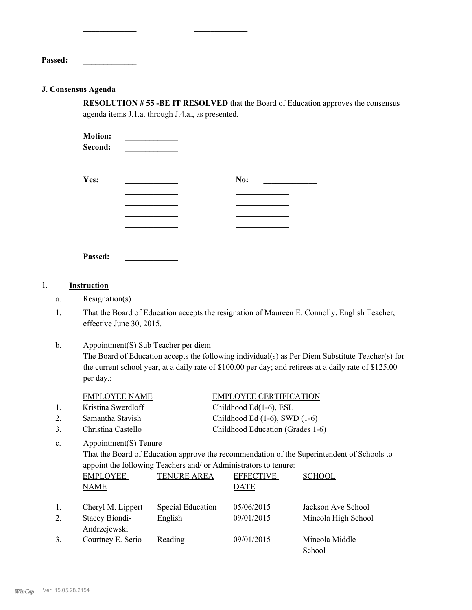**Passed: \_\_\_\_\_\_\_\_\_\_\_\_\_**

### **J. Consensus Agenda**

**RESOLUTION # 55 -BE IT RESOLVED** that the Board of Education approves the consensus agenda items J.1.a. through J.4.a., as presented.

**Motion: Second: \_\_\_\_\_\_\_\_\_\_\_\_\_**

**\_\_\_\_\_\_\_\_\_\_\_\_\_ \_\_\_\_\_\_\_\_\_\_\_\_\_**

| Yes: | No: |
|------|-----|
|      |     |
|      |     |
|      |     |
|      |     |

**Passed: \_\_\_\_\_\_\_\_\_\_\_\_\_**

## 1. **Instruction**

- a. Resignation(s)
- That the Board of Education accepts the resignation of Maureen E. Connolly, English Teacher, effective June 30, 2015. 1.
- Appointment(S) Sub Teacher per diem The Board of Education accepts the following individual(s) as Per Diem Substitute Teacher(s) for the current school year, at a daily rate of \$100.00 per day; and retirees at a daily rate of \$125.00 per day.: b.

|                | <b>EMPLOYEE NAME</b>           |                    | <b>EMPLOYEE CERTIFICATION</b>                                    |                                                                                            |
|----------------|--------------------------------|--------------------|------------------------------------------------------------------|--------------------------------------------------------------------------------------------|
| 1.             | Kristina Swerdloff             |                    | Childhood Ed(1-6), ESL                                           |                                                                                            |
| 2.             | Samantha Stavish               |                    | Childhood Ed $(1-6)$ , SWD $(1-6)$                               |                                                                                            |
| 3.             | Christina Castello             |                    | Childhood Education (Grades 1-6)                                 |                                                                                            |
| $\mathbf{c}$ . | Appointment(S) Tenure          |                    |                                                                  |                                                                                            |
|                |                                |                    |                                                                  | That the Board of Education approve the recommendation of the Superintendent of Schools to |
|                |                                |                    | appoint the following Teachers and/ or Administrators to tenure: |                                                                                            |
|                | <b>EMPLOYEE</b>                | <b>TENURE AREA</b> | <b>EFFECTIVE</b>                                                 | <b>SCHOOL</b>                                                                              |
|                | <b>NAME</b>                    |                    | DATE                                                             |                                                                                            |
|                |                                |                    |                                                                  |                                                                                            |
| $\mathbf{1}$ . | Cheryl M. Lippert              | Special Education  | 05/06/2015                                                       | Jackson Ave School                                                                         |
| 2              | Stacey Biondi-<br>Andrzejewski | English            | 09/01/2015                                                       | Mineola High School                                                                        |
| 3.             |                                |                    | 09/01/2015                                                       | Mineola Middle                                                                             |
|                | Courtney E. Serio              | Reading            |                                                                  |                                                                                            |
|                |                                |                    |                                                                  | School                                                                                     |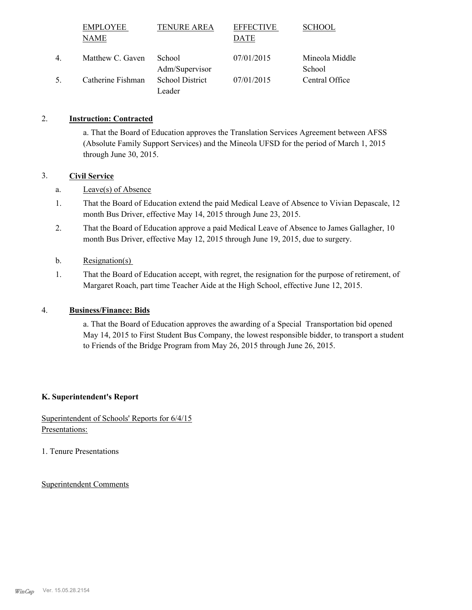|    | <b>EMPLOYEE</b>   | <b>TENURE AREA</b>       | <b>EFFECTIVE</b> | <b>SCHOOL</b>            |
|----|-------------------|--------------------------|------------------|--------------------------|
|    | NAME              |                          | DATE             |                          |
| 4  | Matthew C. Gaven  | School<br>Adm/Supervisor | 07/01/2015       | Mineola Middle<br>School |
| 5. | Catherine Fishman | <b>School District</b>   | 07/01/2015       | Central Office           |
|    |                   | Leader                   |                  |                          |

## 2. **Instruction: Contracted**

a. That the Board of Education approves the Translation Services Agreement between AFSS (Absolute Family Support Services) and the Mineola UFSD for the period of March 1, 2015 through June 30, 2015.

### 3. **Civil Service**

- a. Leave(s) of Absence
- That the Board of Education extend the paid Medical Leave of Absence to Vivian Depascale, 12 month Bus Driver, effective May 14, 2015 through June 23, 2015. 1.
- That the Board of Education approve a paid Medical Leave of Absence to James Gallagher, 10 month Bus Driver, effective May 12, 2015 through June 19, 2015, due to surgery. 2.
- b. Resignation(s)
- That the Board of Education accept, with regret, the resignation for the purpose of retirement, of Margaret Roach, part time Teacher Aide at the High School, effective June 12, 2015. 1.

## 4. **Business/Finance: Bids**

a. That the Board of Education approves the awarding of a Special Transportation bid opened May 14, 2015 to First Student Bus Company, the lowest responsible bidder, to transport a student to Friends of the Bridge Program from May 26, 2015 through June 26, 2015.

### **K. Superintendent's Report**

## Superintendent of Schools' Reports for 6/4/15 Presentations:

1. Tenure Presentations

Superintendent Comments